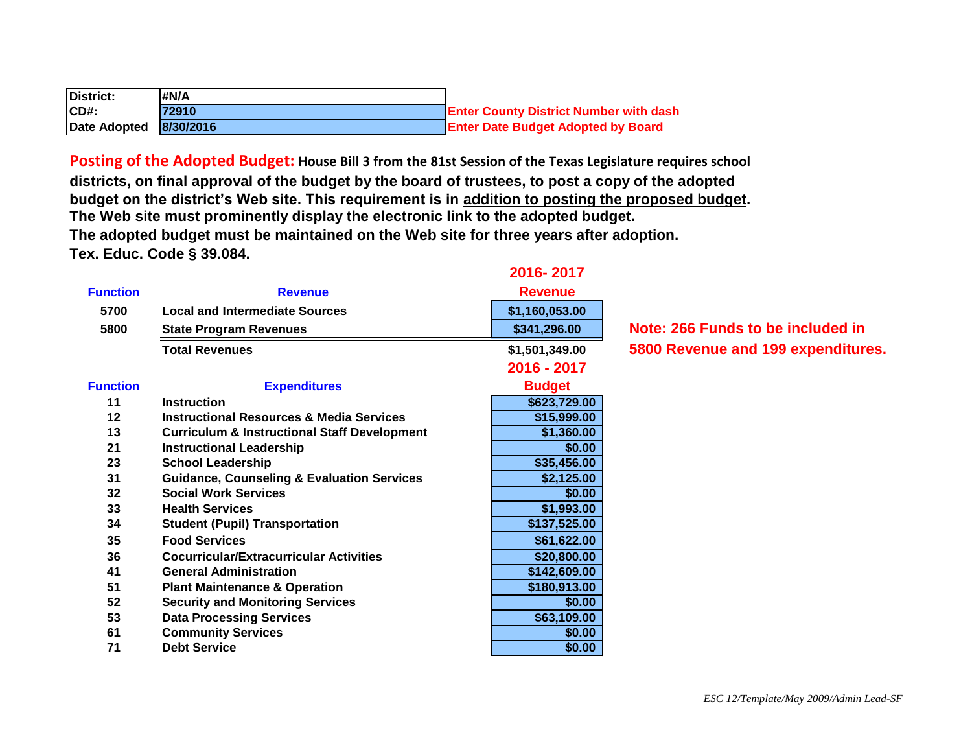| District:              | #N/A  |                                               |
|------------------------|-------|-----------------------------------------------|
| ICD#                   | 72910 | <b>Enter County District Number with dash</b> |
| Date Adopted 8/30/2016 |       | <b>Enter Date Budget Adopted by Board</b>     |

**Posting of the Adopted Budget: House Bill 3 from the 81st Session of the Texas Legislature requires school districts, on final approval of the budget by the board of trustees, to post a copy of the adopted budget on the district's Web site. This requirement is in addition to posting the proposed budget. The Web site must prominently display the electronic link to the adopted budget. The adopted budget must be maintained on the Web site for three years after adoption. Tex. Educ. Code § 39.084.**

| <b>Function</b> | <b>Revenue</b>                                          | <b>Revenue</b> |                                    |
|-----------------|---------------------------------------------------------|----------------|------------------------------------|
| 5700            | <b>Local and Intermediate Sources</b>                   | \$1,160,053.00 |                                    |
| 5800            | <b>State Program Revenues</b>                           | \$341,296.00   | Note: 266 Funds to be included in  |
|                 | <b>Total Revenues</b>                                   | \$1,501,349.00 | 5800 Revenue and 199 expenditures. |
|                 |                                                         | 2016 - 2017    |                                    |
| <b>Function</b> | <b>Expenditures</b>                                     | <b>Budget</b>  |                                    |
| 11              | <b>Instruction</b>                                      | \$623,729.00   |                                    |
| 12              | <b>Instructional Resources &amp; Media Services</b>     | \$15,999.00    |                                    |
| 13              | <b>Curriculum &amp; Instructional Staff Development</b> | \$1,360.00     |                                    |
| 21              | <b>Instructional Leadership</b>                         | \$0.00         |                                    |
| 23              | <b>School Leadership</b>                                | \$35,456.00    |                                    |
| 31              | <b>Guidance, Counseling &amp; Evaluation Services</b>   | \$2,125.00     |                                    |
| 32              | <b>Social Work Services</b>                             | \$0.00         |                                    |
| 33              | <b>Health Services</b>                                  | \$1,993.00     |                                    |
| 34              | <b>Student (Pupil) Transportation</b>                   | \$137,525.00   |                                    |
| 35              | <b>Food Services</b>                                    | \$61,622.00    |                                    |
| 36              | <b>Cocurricular/Extracurricular Activities</b>          | \$20,800.00    |                                    |
| 41              | <b>General Administration</b>                           | \$142,609.00   |                                    |
| 51              | <b>Plant Maintenance &amp; Operation</b>                | \$180,913.00   |                                    |
| 52              | <b>Security and Monitoring Services</b>                 | \$0.00         |                                    |
| 53              | <b>Data Processing Services</b>                         | \$63,109.00    |                                    |
| 61              | <b>Community Services</b>                               | \$0.00         |                                    |
| 71              | <b>Debt Service</b>                                     | \$0.00         |                                    |
|                 |                                                         |                |                                    |

**2016- 2017**